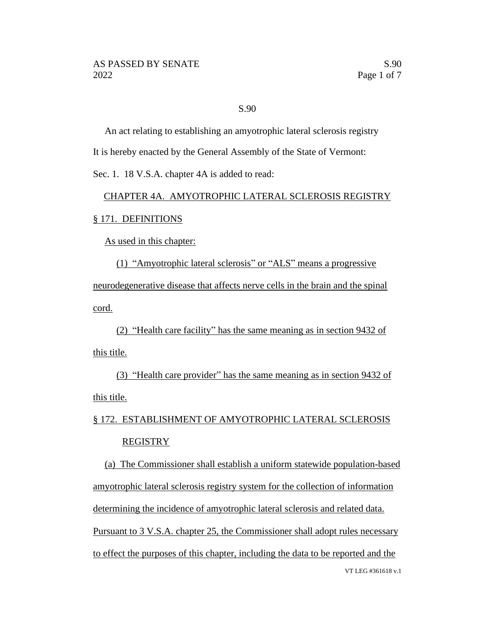### S.90

An act relating to establishing an amyotrophic lateral sclerosis registry It is hereby enacted by the General Assembly of the State of Vermont:

Sec. 1. 18 V.S.A. chapter 4A is added to read:

### CHAPTER 4A. AMYOTROPHIC LATERAL SCLEROSIS REGISTRY

#### § 171. DEFINITIONS

As used in this chapter:

(1) "Amyotrophic lateral sclerosis" or "ALS" means a progressive neurodegenerative disease that affects nerve cells in the brain and the spinal cord.

(2) "Health care facility" has the same meaning as in section 9432 of this title.

(3) "Health care provider" has the same meaning as in section 9432 of this title.

# § 172. ESTABLISHMENT OF AMYOTROPHIC LATERAL SCLEROSIS REGISTRY

VT LEG #361618 v.1 (a) The Commissioner shall establish a uniform statewide population-based amyotrophic lateral sclerosis registry system for the collection of information determining the incidence of amyotrophic lateral sclerosis and related data. Pursuant to 3 V.S.A. chapter 25, the Commissioner shall adopt rules necessary to effect the purposes of this chapter, including the data to be reported and the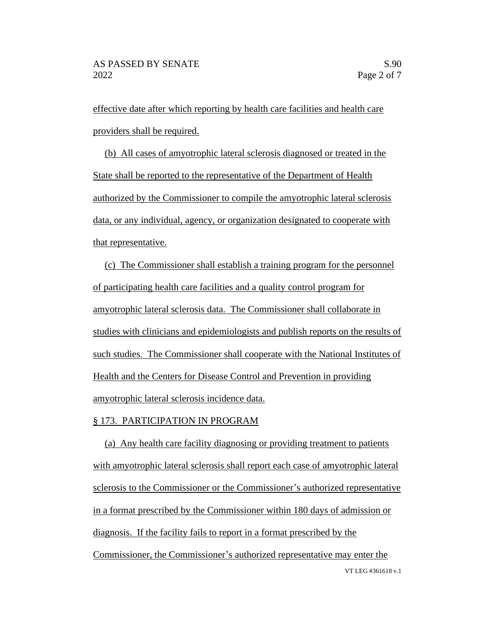effective date after which reporting by health care facilities and health care providers shall be required.

(b) All cases of amyotrophic lateral sclerosis diagnosed or treated in the State shall be reported to the representative of the Department of Health authorized by the Commissioner to compile the amyotrophic lateral sclerosis data, or any individual, agency, or organization designated to cooperate with that representative.

(c) The Commissioner shall establish a training program for the personnel of participating health care facilities and a quality control program for amyotrophic lateral sclerosis data. The Commissioner shall collaborate in studies with clinicians and epidemiologists and publish reports on the results of such studies. The Commissioner shall cooperate with the National Institutes of Health and the Centers for Disease Control and Prevention in providing amyotrophic lateral sclerosis incidence data.

#### § 173. PARTICIPATION IN PROGRAM

VT LEG #361618 v.1 (a) Any health care facility diagnosing or providing treatment to patients with amyotrophic lateral sclerosis shall report each case of amyotrophic lateral sclerosis to the Commissioner or the Commissioner's authorized representative in a format prescribed by the Commissioner within 180 days of admission or diagnosis. If the facility fails to report in a format prescribed by the Commissioner, the Commissioner's authorized representative may enter the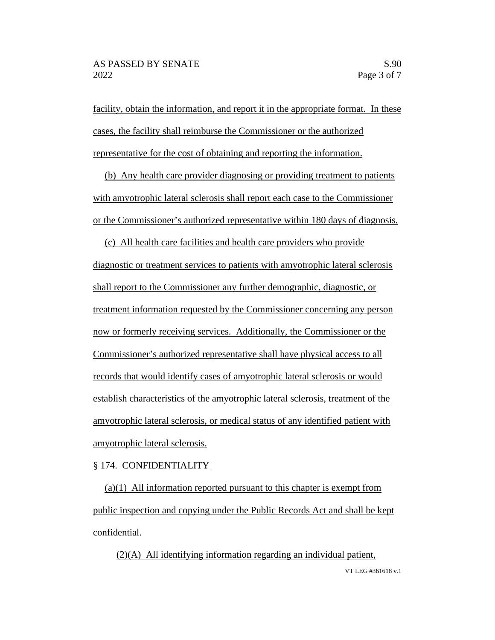facility, obtain the information, and report it in the appropriate format. In these cases, the facility shall reimburse the Commissioner or the authorized representative for the cost of obtaining and reporting the information.

(b) Any health care provider diagnosing or providing treatment to patients with amyotrophic lateral sclerosis shall report each case to the Commissioner or the Commissioner's authorized representative within 180 days of diagnosis.

(c) All health care facilities and health care providers who provide diagnostic or treatment services to patients with amyotrophic lateral sclerosis shall report to the Commissioner any further demographic, diagnostic, or treatment information requested by the Commissioner concerning any person now or formerly receiving services. Additionally, the Commissioner or the Commissioner's authorized representative shall have physical access to all records that would identify cases of amyotrophic lateral sclerosis or would establish characteristics of the amyotrophic lateral sclerosis, treatment of the amyotrophic lateral sclerosis, or medical status of any identified patient with amyotrophic lateral sclerosis.

#### § 174. CONFIDENTIALITY

(a)(1) All information reported pursuant to this chapter is exempt from public inspection and copying under the Public Records Act and shall be kept confidential.

VT LEG #361618 v.1 (2)(A) All identifying information regarding an individual patient,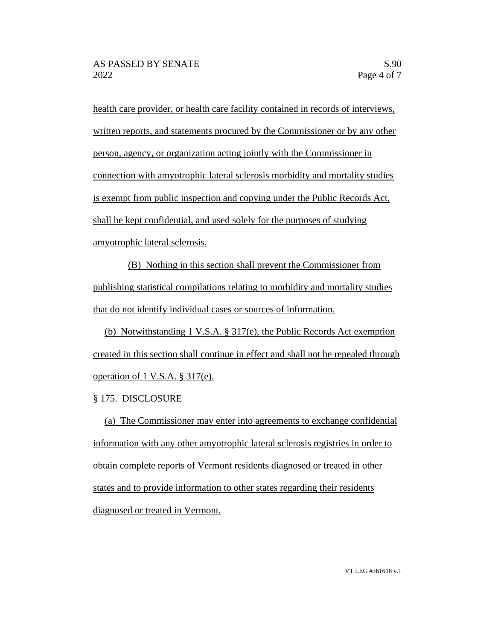health care provider, or health care facility contained in records of interviews, written reports, and statements procured by the Commissioner or by any other person, agency, or organization acting jointly with the Commissioner in connection with amyotrophic lateral sclerosis morbidity and mortality studies is exempt from public inspection and copying under the Public Records Act, shall be kept confidential, and used solely for the purposes of studying amyotrophic lateral sclerosis.

(B) Nothing in this section shall prevent the Commissioner from publishing statistical compilations relating to morbidity and mortality studies that do not identify individual cases or sources of information.

(b) Notwithstanding 1 V.S.A. § 317(e), the Public Records Act exemption created in this section shall continue in effect and shall not be repealed through operation of 1 V.S.A. § 317(e).

## § 175. DISCLOSURE

(a) The Commissioner may enter into agreements to exchange confidential information with any other amyotrophic lateral sclerosis registries in order to obtain complete reports of Vermont residents diagnosed or treated in other states and to provide information to other states regarding their residents diagnosed or treated in Vermont.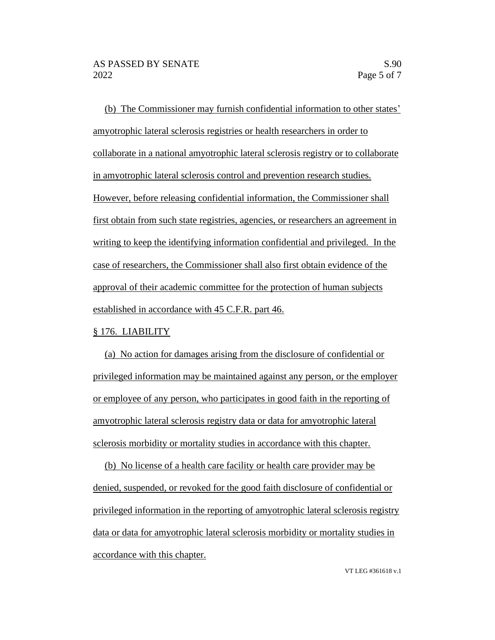(b) The Commissioner may furnish confidential information to other states' amyotrophic lateral sclerosis registries or health researchers in order to collaborate in a national amyotrophic lateral sclerosis registry or to collaborate in amyotrophic lateral sclerosis control and prevention research studies. However, before releasing confidential information, the Commissioner shall first obtain from such state registries, agencies, or researchers an agreement in writing to keep the identifying information confidential and privileged. In the case of researchers, the Commissioner shall also first obtain evidence of the approval of their academic committee for the protection of human subjects established in accordance with 45 C.F.R. part 46.

#### § 176. LIABILITY

(a) No action for damages arising from the disclosure of confidential or privileged information may be maintained against any person, or the employer or employee of any person, who participates in good faith in the reporting of amyotrophic lateral sclerosis registry data or data for amyotrophic lateral sclerosis morbidity or mortality studies in accordance with this chapter.

(b) No license of a health care facility or health care provider may be denied, suspended, or revoked for the good faith disclosure of confidential or privileged information in the reporting of amyotrophic lateral sclerosis registry data or data for amyotrophic lateral sclerosis morbidity or mortality studies in accordance with this chapter.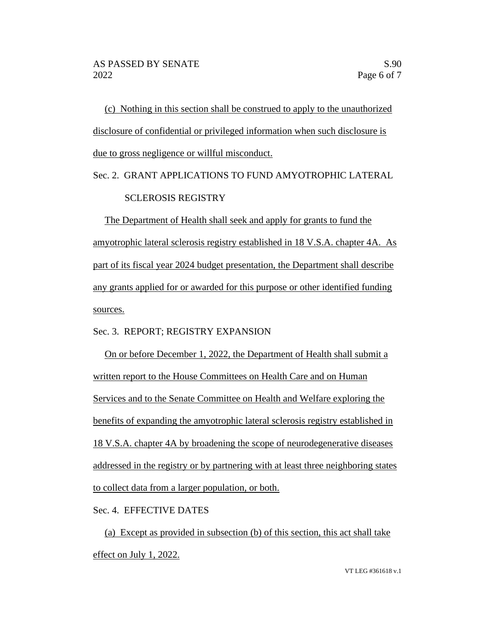(c) Nothing in this section shall be construed to apply to the unauthorized disclosure of confidential or privileged information when such disclosure is due to gross negligence or willful misconduct.

# Sec. 2. GRANT APPLICATIONS TO FUND AMYOTROPHIC LATERAL SCLEROSIS REGISTRY

The Department of Health shall seek and apply for grants to fund the amyotrophic lateral sclerosis registry established in 18 V.S.A. chapter 4A. As part of its fiscal year 2024 budget presentation, the Department shall describe any grants applied for or awarded for this purpose or other identified funding sources.

Sec. 3. REPORT; REGISTRY EXPANSION

On or before December 1, 2022, the Department of Health shall submit a written report to the House Committees on Health Care and on Human Services and to the Senate Committee on Health and Welfare exploring the benefits of expanding the amyotrophic lateral sclerosis registry established in 18 V.S.A. chapter 4A by broadening the scope of neurodegenerative diseases addressed in the registry or by partnering with at least three neighboring states to collect data from a larger population, or both.

Sec. 4. EFFECTIVE DATES

(a) Except as provided in subsection (b) of this section, this act shall take effect on July 1, 2022.